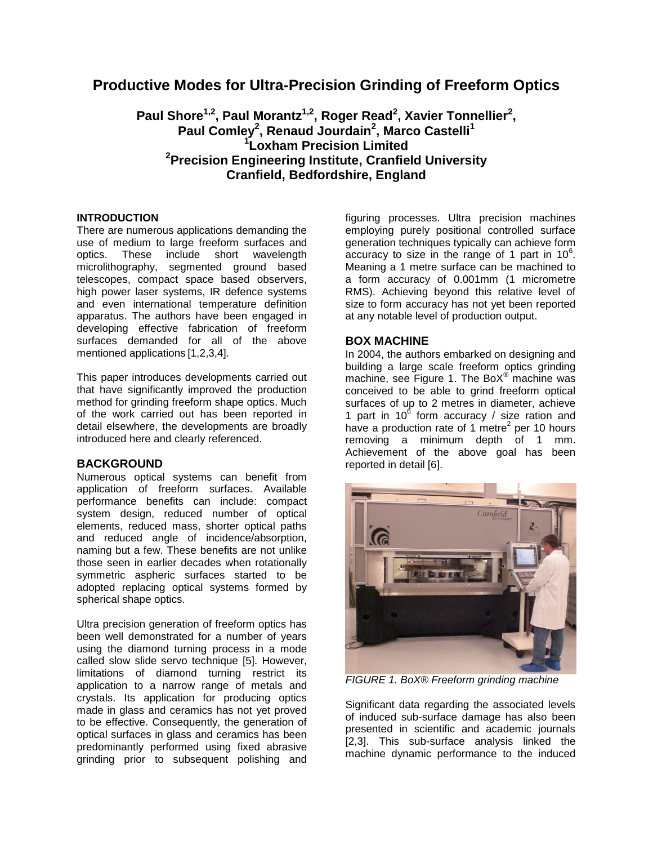# **Productive Modes for Ultra-Precision Grinding of Freeform Optics**

**Paul Shore1,2 , Paul Morantz1,2 , Roger Read<sup>2</sup> , Xavier Tonnellier<sup>2</sup> , Paul Comley<sup>2</sup> , Renaud Jourdain<sup>2</sup> , Marco Castelli<sup>1</sup> 1 Loxham Precision Limited <sup>2</sup>Precision Engineering Institute, Cranfield University Cranfield, Bedfordshire, England**

## **INTRODUCTION**

There are numerous applications demanding the use of medium to large freeform surfaces and optics. These include short wavelength microlithography, segmented ground based telescopes, compact space based observers, high power laser systems, IR defence systems and even international temperature definition apparatus. The authors have been engaged in developing effective fabrication of freeform surfaces demanded for all of the above mentioned applications [1,2,3,4].

This paper introduces developments carried out that have significantly improved the production method for grinding freeform shape optics. Much of the work carried out has been reported in detail elsewhere, the developments are broadly introduced here and clearly referenced.

## **BACKGROUND**

Numerous optical systems can benefit from application of freeform surfaces. Available performance benefits can include: compact system design, reduced number of optical elements, reduced mass, shorter optical paths and reduced angle of incidence/absorption, naming but a few. These benefits are not unlike those seen in earlier decades when rotationally symmetric aspheric surfaces started to be adopted replacing optical systems formed by spherical shape optics.

Ultra precision generation of freeform optics has been well demonstrated for a number of years using the diamond turning process in a mode called slow slide servo technique [5]. However, limitations of diamond turning restrict its application to a narrow range of metals and crystals. Its application for producing optics made in glass and ceramics has not yet proved to be effective. Consequently, the generation of optical surfaces in glass and ceramics has been predominantly performed using fixed abrasive grinding prior to subsequent polishing and figuring processes. Ultra precision machines employing purely positional controlled surface generation techniques typically can achieve form  $\frac{1}{2}$  accuracy to size in the range of 1 part in 10 $\degree$ . Meaning a 1 metre surface can be machined to a form accuracy of 0.001mm (1 micrometre RMS). Achieving beyond this relative level of size to form accuracy has not yet been reported at any notable level of production output.

## **BOX MACHINE**

In 2004, the authors embarked on designing and building a large scale freeform optics grinding machine, see Figure 1. The BoX $^{\circ}$  machine was conceived to be able to grind freeform optical surfaces of up to 2 metres in diameter, achieve 1 part in 10 $^6$  form accuracy / size ration and have a production rate of 1 metre<sup>2</sup> per 10 hours removing a minimum depth of 1 mm. Achievement of the above goal has been reported in detail [6].



*FIGURE 1. BoX® Freeform grinding machine*

Significant data regarding the associated levels of induced sub-surface damage has also been presented in scientific and academic journals [2,3]. This sub-surface analysis linked the machine dynamic performance to the induced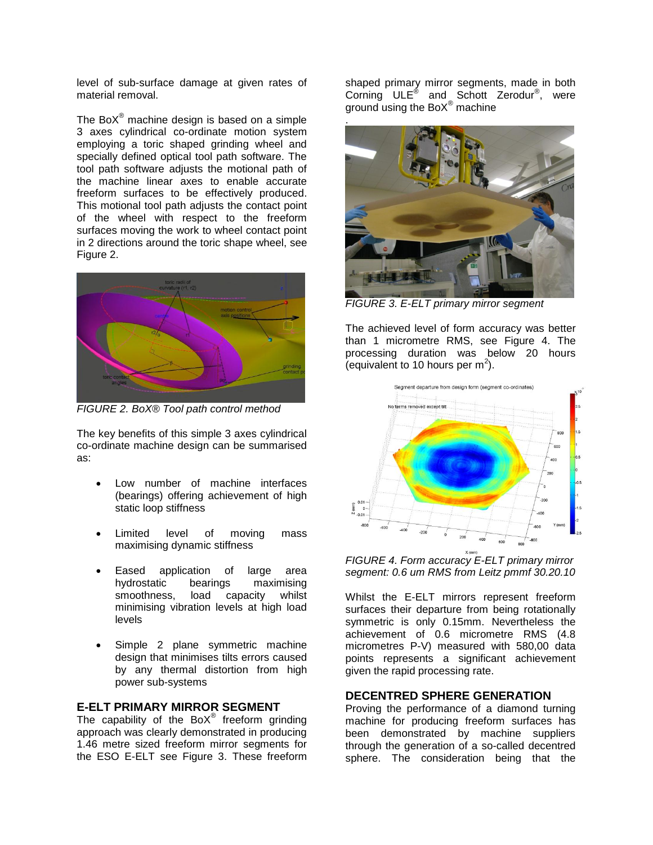level of sub-surface damage at given rates of material removal.

The Bo $X^{\circledast}$  machine design is based on a simple 3 axes cylindrical co-ordinate motion system employing a toric shaped grinding wheel and specially defined optical tool path software. The tool path software adjusts the motional path of the machine linear axes to enable accurate freeform surfaces to be effectively produced. This motional tool path adjusts the contact point of the wheel with respect to the freeform surfaces moving the work to wheel contact point in 2 directions around the toric shape wheel, see Figure 2.



*FIGURE 2. BoX® Tool path control method*

The key benefits of this simple 3 axes cylindrical co-ordinate machine design can be summarised as:

- Low number of machine interfaces (bearings) offering achievement of high static loop stiffness
- Limited level of moving mass maximising dynamic stiffness
- Eased application of large area hydrostatic bearings maximising smoothness, load capacity whilst minimising vibration levels at high load levels
- Simple 2 plane symmetric machine design that minimises tilts errors caused by any thermal distortion from high power sub-systems

## **E-ELT PRIMARY MIRROR SEGMENT**

The capability of the BoX*®* freeform grinding approach was clearly demonstrated in producing 1.46 metre sized freeform mirror segments for the ESO E-ELT see Figure 3. These freeform

shaped primary mirror segments, made in both Corning ULE<sup>®</sup> and Schott Zerodur<sup>®</sup>, were ground using the BoX $^{\circledR}$  machine



*FIGURE 3. E-ELT primary mirror segment*

The achieved level of form accuracy was better than 1 micrometre RMS, see Figure 4. The processing duration was below 20 hours (equivalent to 10 hours per m<sup>2</sup>).



*FIGURE 4. Form accuracy E-ELT primary mirror segment: 0.6 um RMS from Leitz pmmf 30.20.10*

Whilst the E-ELT mirrors represent freeform surfaces their departure from being rotationally symmetric is only 0.15mm. Nevertheless the achievement of 0.6 micrometre RMS (4.8 micrometres P-V) measured with 580,00 data points represents a significant achievement given the rapid processing rate.

## **DECENTRED SPHERE GENERATION**

Proving the performance of a diamond turning machine for producing freeform surfaces has been demonstrated by machine suppliers through the generation of a so-called decentred sphere. The consideration being that the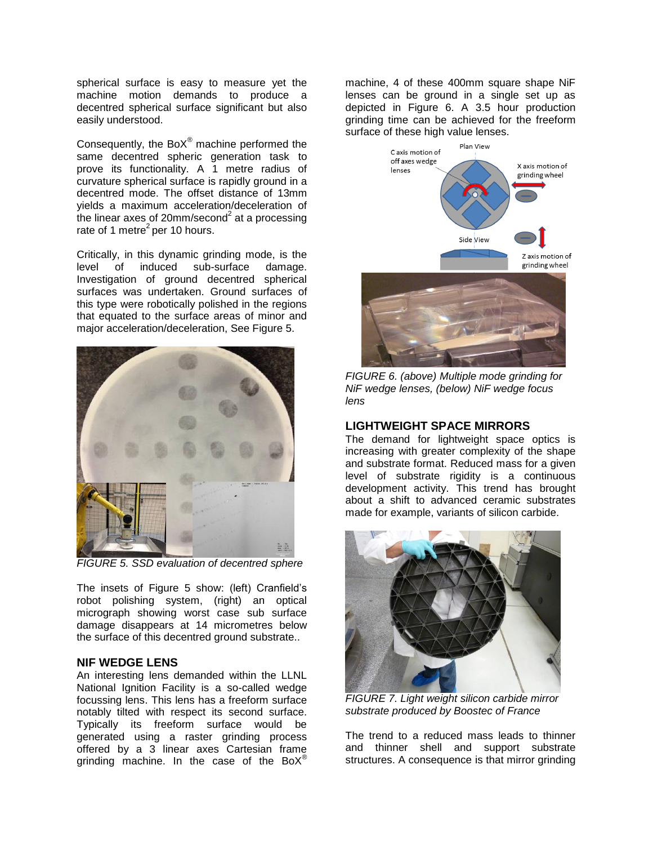spherical surface is easy to measure yet the machine motion demands to produce a decentred spherical surface significant but also easily understood.

Consequently, the BoX*®* machine performed the same decentred spheric generation task to prove its functionality. A 1 metre radius of curvature spherical surface is rapidly ground in a decentred mode. The offset distance of 13mm yields a maximum acceleration/deceleration of the linear axes of 20mm/second<sup>2</sup> at a processing rate of 1 metre $^2$  per 10 hours.

Critically, in this dynamic grinding mode, is the level of induced sub-surface damage. Investigation of ground decentred spherical surfaces was undertaken. Ground surfaces of this type were robotically polished in the regions that equated to the surface areas of minor and major acceleration/deceleration, See Figure 5.



*FIGURE 5. SSD evaluation of decentred sphere*

The insets of Figure 5 show: (left) Cranfield's robot polishing system, (right) an optical micrograph showing worst case sub surface damage disappears at 14 micrometres below the surface of this decentred ground substrate..

#### **NIF WEDGE LENS**

An interesting lens demanded within the LLNL National Ignition Facility is a so-called wedge focussing lens. This lens has a freeform surface notably tilted with respect its second surface. Typically its freeform surface would be generated using a raster grinding process offered by a 3 linear axes Cartesian frame grinding machine. In the case of the BoX*®*

machine, 4 of these 400mm square shape NiF lenses can be ground in a single set up as depicted in Figure 6. A 3.5 hour production grinding time can be achieved for the freeform surface of these high value lenses.



*FIGURE 6. (above) Multiple mode grinding for NiF wedge lenses, (below) NiF wedge focus lens*

#### **LIGHTWEIGHT SPACE MIRRORS**

The demand for lightweight space optics is increasing with greater complexity of the shape and substrate format. Reduced mass for a given level of substrate rigidity is a continuous development activity. This trend has brought about a shift to advanced ceramic substrates made for example, variants of silicon carbide.



*FIGURE 7. Light weight silicon carbide mirror substrate produced by Boostec of France*

The trend to a reduced mass leads to thinner and thinner shell and support substrate structures. A consequence is that mirror grinding